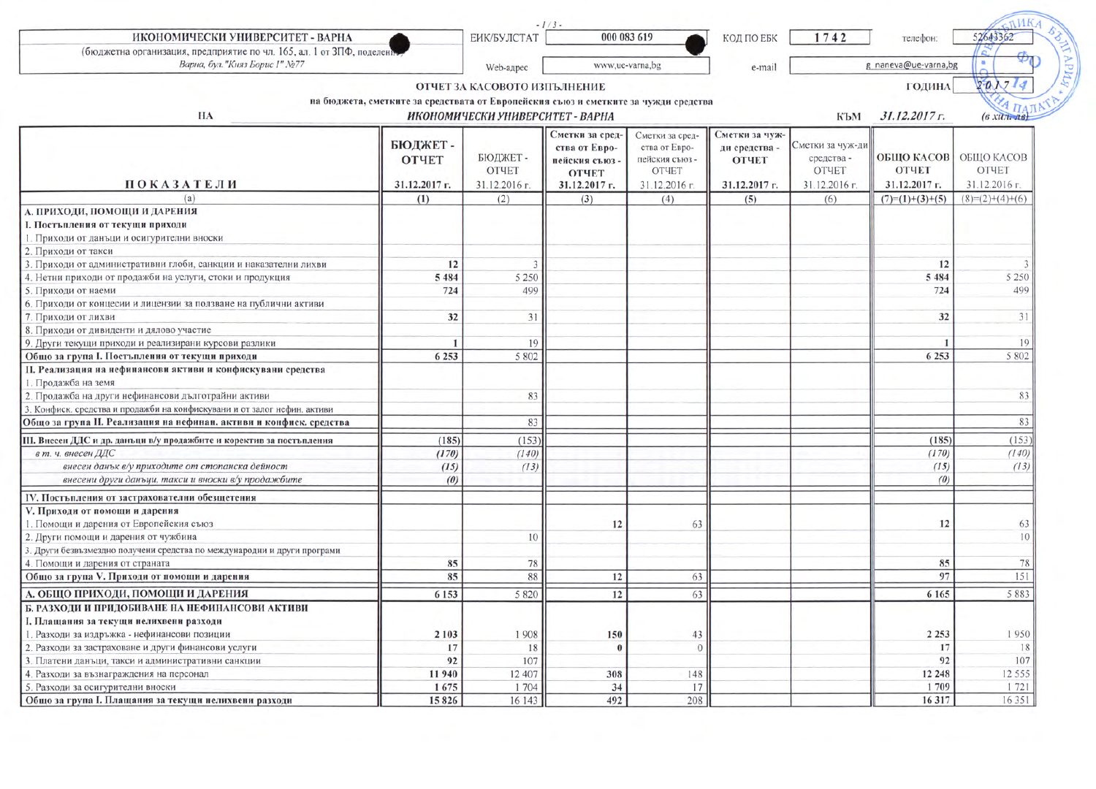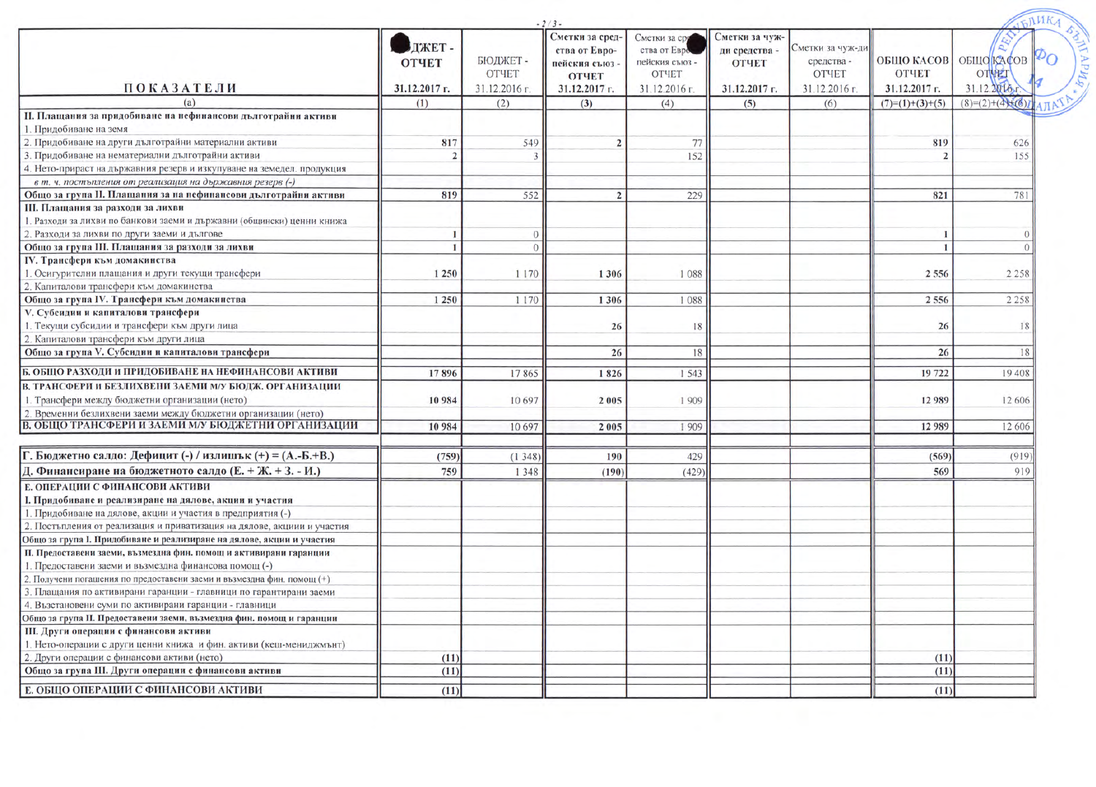|                                                                         |                                        | $-2/3-$                 |                                                                                   |                                                                 |                                                 |                                         | IFINKA                                      |                                                             |  |
|-------------------------------------------------------------------------|----------------------------------------|-------------------------|-----------------------------------------------------------------------------------|-----------------------------------------------------------------|-------------------------------------------------|-----------------------------------------|---------------------------------------------|-------------------------------------------------------------|--|
| <b>ПОКАЗАТЕЛИ</b>                                                       | ДЖЕТ-<br><b>ОТЧЕТ</b><br>31.12.2017 г. | БЮДЖЕТ-<br><b>OTHET</b> | Сметки за сред-<br>ства от Евро-<br>пейския съюз<br><b>ОТЧЕТ</b><br>31.12.2017 г. | Сметки за сра<br>ства от Евро<br>пейския съюз -<br><b>OTHET</b> | Сметки за чуж-<br>ди средства -<br><b>ОТЧЕТ</b> | Сметки за чуж-ди<br>средства -<br>ОТЧЕТ | ОБШО КАСОВ<br><b>ОТЧЕТ</b><br>31.12.2017 г. | $\mathcal{P}_O$<br><b>ОБЩО КАСОВ</b><br>OTHET<br>31.12.2016 |  |
| (a)                                                                     | (1)                                    | 31.12.2016 г.<br>(2)    |                                                                                   | 31.12.2016 г.                                                   | 31.12.2017 г.                                   | 31.12.2016 г.                           |                                             | $(8)=(2)+(4)+(6)$                                           |  |
| II. Плащания за придобиване на нефинансови дълготрайни активи           |                                        |                         | (3)                                                                               | (4)                                                             | (5)                                             | (6)                                     | $(7)=(1)+(3)+(5)$                           |                                                             |  |
| 1. Придобиване на земя                                                  |                                        |                         |                                                                                   |                                                                 |                                                 |                                         |                                             |                                                             |  |
| 2. Придобиване на други дълготрайни материални активи                   | 817                                    | 549                     |                                                                                   | 77                                                              |                                                 |                                         | 819                                         | 626                                                         |  |
| 3. Придобиване на нематериални дълготрайни активи                       |                                        |                         |                                                                                   | 152                                                             |                                                 |                                         |                                             | 155                                                         |  |
| 4. Нето-прираст на държавния резерв и изкупуване на земедел. продукция  |                                        |                         |                                                                                   |                                                                 |                                                 |                                         |                                             |                                                             |  |
| в т. ч. постъпления от реализация на държавния резерв (-)               |                                        |                         |                                                                                   |                                                                 |                                                 |                                         |                                             |                                                             |  |
| Общо за група II. Плащания за на нефинансови дълготрайни активи         | 819                                    | 552                     | $\overline{2}$                                                                    | 229                                                             |                                                 |                                         | 821                                         | 781                                                         |  |
| III. Плащания за разходи за лихви                                       |                                        |                         |                                                                                   |                                                                 |                                                 |                                         |                                             |                                                             |  |
| 1. Разходи за лихви по банкови заеми и държавни (общински) ценни книжа  |                                        |                         |                                                                                   |                                                                 |                                                 |                                         |                                             |                                                             |  |
| 2. Разходи за лихви по други заеми и дългове                            |                                        | $\overline{0}$          |                                                                                   |                                                                 |                                                 |                                         | -1                                          | $\Omega$                                                    |  |
| Общо за група III. Плащания за разходи за лихви                         |                                        | $\overline{0}$          |                                                                                   |                                                                 |                                                 |                                         | $\mathbf{1}$                                | $\Omega$                                                    |  |
| IV. Трансфери към домакинства                                           |                                        |                         |                                                                                   |                                                                 |                                                 |                                         |                                             |                                                             |  |
| 1. Осигурителни плащания и други текущи трансфери                       | 1 250                                  | 1 1 7 0                 | 1306                                                                              | 1088                                                            |                                                 |                                         | 2 5 5 6                                     | 2 2 5 8                                                     |  |
| 2. Капиталови трансфери към домакинства                                 |                                        |                         |                                                                                   |                                                                 |                                                 |                                         |                                             |                                                             |  |
| Общо за група IV. Трансфери към домакинства                             | 1 2 5 0                                | 1 1 7 0                 | 1306                                                                              | 1088                                                            |                                                 |                                         | 2 5 5 6                                     | 2 2 5 8                                                     |  |
| V. Субсидии и капиталови трансфери                                      |                                        |                         |                                                                                   |                                                                 |                                                 |                                         |                                             |                                                             |  |
| 1. Текущи субсидии и трансфери към други лица                           |                                        |                         | 26                                                                                | 18                                                              |                                                 |                                         | 26                                          | 18                                                          |  |
| 2. Капиталови трансфери към други лица                                  |                                        |                         |                                                                                   |                                                                 |                                                 |                                         |                                             |                                                             |  |
| Общо за група V. Субсидии и капиталови трансфери                        |                                        |                         | 26                                                                                | 18                                                              |                                                 |                                         | 26                                          | 18                                                          |  |
| Б. ОБЩО РАЗХОДИ И ПРИДОБИВАНЕ НА НЕФИНАНСОВИ АКТИВИ                     | 17896                                  | 17865                   | 1826                                                                              | 1 5 4 3                                                         |                                                 |                                         | 19 722                                      | 19 408                                                      |  |
| В. ТРАНСФЕРИ И БЕЗЛИХВЕНИ ЗАЕМИ М/У БЮДЖ. ОРГАНИЗАЦИИ                   |                                        |                         |                                                                                   |                                                                 |                                                 |                                         |                                             |                                                             |  |
| 1. Трансфери между бюджетни организации (нето)                          | 10984                                  | 10 697                  | 2005                                                                              | 1909                                                            |                                                 |                                         | 12989                                       | 12 606                                                      |  |
| 2. Временни безлихвени заеми между бюджетни организации (нето)          |                                        |                         |                                                                                   |                                                                 |                                                 |                                         |                                             |                                                             |  |
| В. ОБЩО ТРАНСФЕРИ И ЗАЕМИ М/У БЮДЖЕТНИ ОРГАНИЗАЦИИ                      | 10984                                  | 10 697                  | 2005                                                                              | 1 9 0 9                                                         |                                                 |                                         | 12 989                                      | 12 60 6                                                     |  |
|                                                                         |                                        |                         |                                                                                   |                                                                 |                                                 |                                         |                                             |                                                             |  |
| Г. Бюджетно салдо: Дефицит (-) / излишък (+) = (А.-Б.+В.)               | (759)                                  | (1348)                  | 190                                                                               | 429                                                             |                                                 |                                         | (569)                                       | (919)                                                       |  |
| Д. Финансиране на бюджетното салдо (Е. + Ж. + З. - И.)                  | 759                                    | 1 3 4 8                 | (190)                                                                             | (429)                                                           |                                                 |                                         | 569                                         | 919                                                         |  |
| Е. ОПЕРАЦИИ С ФИНАНСОВИ АКТИВИ                                          |                                        |                         |                                                                                   |                                                                 |                                                 |                                         |                                             |                                                             |  |
| I. Придобиване и реализиране на дялове, акции и участия                 |                                        |                         |                                                                                   |                                                                 |                                                 |                                         |                                             |                                                             |  |
| 1. Придобиване на дялове, акции и участия в предприятия (-)             |                                        |                         |                                                                                   |                                                                 |                                                 |                                         |                                             |                                                             |  |
| 2. Постъпления от реализация и приватизация на дялове, акциии и участия |                                        |                         |                                                                                   |                                                                 |                                                 |                                         |                                             |                                                             |  |
| Общо за група I. Придобиване и реализиране на дялове, акции и участия   |                                        |                         |                                                                                   |                                                                 |                                                 |                                         |                                             |                                                             |  |
| II. Предоставени заеми, възмездна фин. помощ и активирани гаранции      |                                        |                         |                                                                                   |                                                                 |                                                 |                                         |                                             |                                                             |  |
| 1. Предоставени заеми и възмездна финансова помощ (-)                   |                                        |                         |                                                                                   |                                                                 |                                                 |                                         |                                             |                                                             |  |
| 2. Получени погашения по предоставени заеми и възмездна фин. помощ (+)  |                                        |                         |                                                                                   |                                                                 |                                                 |                                         |                                             |                                                             |  |
| 3. Плащания по активирани гаранции - главници по гарантирани заеми      |                                        |                         |                                                                                   |                                                                 |                                                 |                                         |                                             |                                                             |  |
| 4. Възстановени суми по активирани гаранции - главници                  |                                        |                         |                                                                                   |                                                                 |                                                 |                                         |                                             |                                                             |  |
| Общо за група II. Предоставени заеми, възмездна фин. помощ и гаранции   |                                        |                         |                                                                                   |                                                                 |                                                 |                                         |                                             |                                                             |  |
| III. Други операции с финансови активи                                  |                                        |                         |                                                                                   |                                                                 |                                                 |                                         |                                             |                                                             |  |
| 1. Нето-операции с други ценни книжа и фин. активи (кеш-мениджмънт)     |                                        |                         |                                                                                   |                                                                 |                                                 |                                         |                                             |                                                             |  |
| 2. Други операции с финансови активи (нето)                             | (11)                                   |                         |                                                                                   |                                                                 |                                                 |                                         | (11)                                        |                                                             |  |
| Общо за група III. Други операции с финансови активи                    | (11)                                   |                         |                                                                                   |                                                                 |                                                 |                                         | (11)                                        |                                                             |  |
| Е. ОБЩО ОПЕРАЦИИ С ФИНАНСОВИ АКТИВИ                                     | (11)                                   |                         |                                                                                   |                                                                 |                                                 |                                         | (11)                                        |                                                             |  |